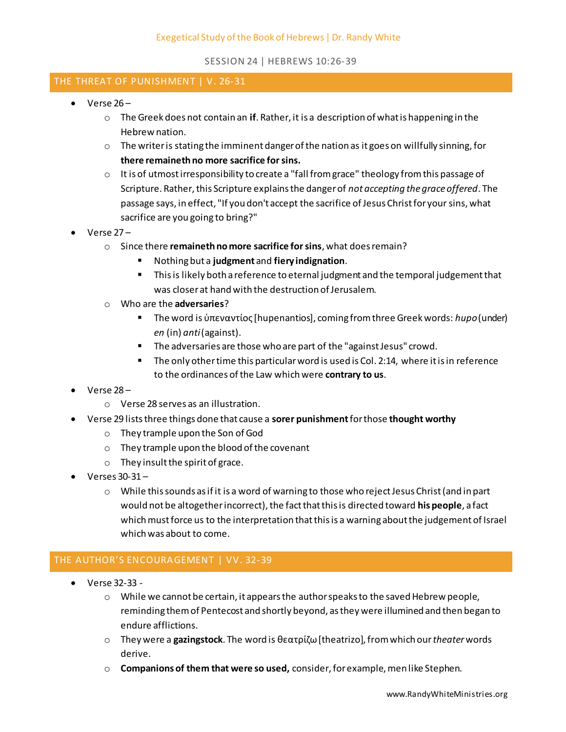## THE THREAT OF PUNISHMENT | V. 26-31

- $\bullet$  Verse 26
	- o The Greek does not contain an **if**. Rather, it is a description of what is happening in the Hebrew nation.
	- o The writer is stating the imminent danger of the nation as it goes on willfully sinning, for **there remaineth no more sacrifice for sins.**
	- o It is of utmost irresponsibility to create a "fall from grace" theology from this passage of Scripture. Rather, this Scripture explains the danger of *not accepting the grace offered*. The passage says, in effect, "If you don't accept the sacrifice of Jesus Christ for your sins, what sacrifice are you going to bring?"
- $\bullet$  Verse  $27$ 
	- o Since there **remaineth no more sacrifice for sins**, what does remain?
		- Nothing but a **judgment** and **fiery indignation**.
		- **This is likely both a reference to eternal judgment and the temporal judgement that** was closer at hand with the destruction of Jerusalem.
	- o Who are the **adversaries**?
		- The word is ὑπεναντίος [hupenantios], coming from three Greek words: *hupo*(under) *en* (in) *anti* (against).
		- **The adversaries are those who are part of the "against Jesus" crowd.**
		- The only other time this particular word is used is Col. 2:14, where it is in reference to the ordinances of the Law which were **contrary to us**.
- $\bullet$  Verse 28
	- o Verse 28 serves as an illustration.
- Verse 29 lists three things done that cause a **sorer punishment** for those **thought worthy** 
	- o They trample upon the Son of God
	- o They trample upon the blood of the covenant
	- o They insult the spirit of grace.
- $\bullet$  Verses 30-31 -
	- $\circ$  While this sounds as if it is a word of warning to those who reject Jesus Christ (and in part would not be altogether incorrect), the fact that this is directed toward **his people**, a fact which must force us to the interpretation that this is a warning about the judgement of Israel which was about to come.

## THE AUTHOR'S ENCOURAGEMENT | VV. 32-39

- Verse 32-33
	- $\circ$  While we cannot be certain, it appears the author speaks to the saved Hebrew people, reminding them of Pentecost and shortly beyond, as they were illumined and then began to endure afflictions.
	- o They were a **gazingstock**. The word is θεατρίζω [theatrizo], from which our *theater* words derive.
	- o **Companions of them that were so used,** consider, for example, men like Stephen.